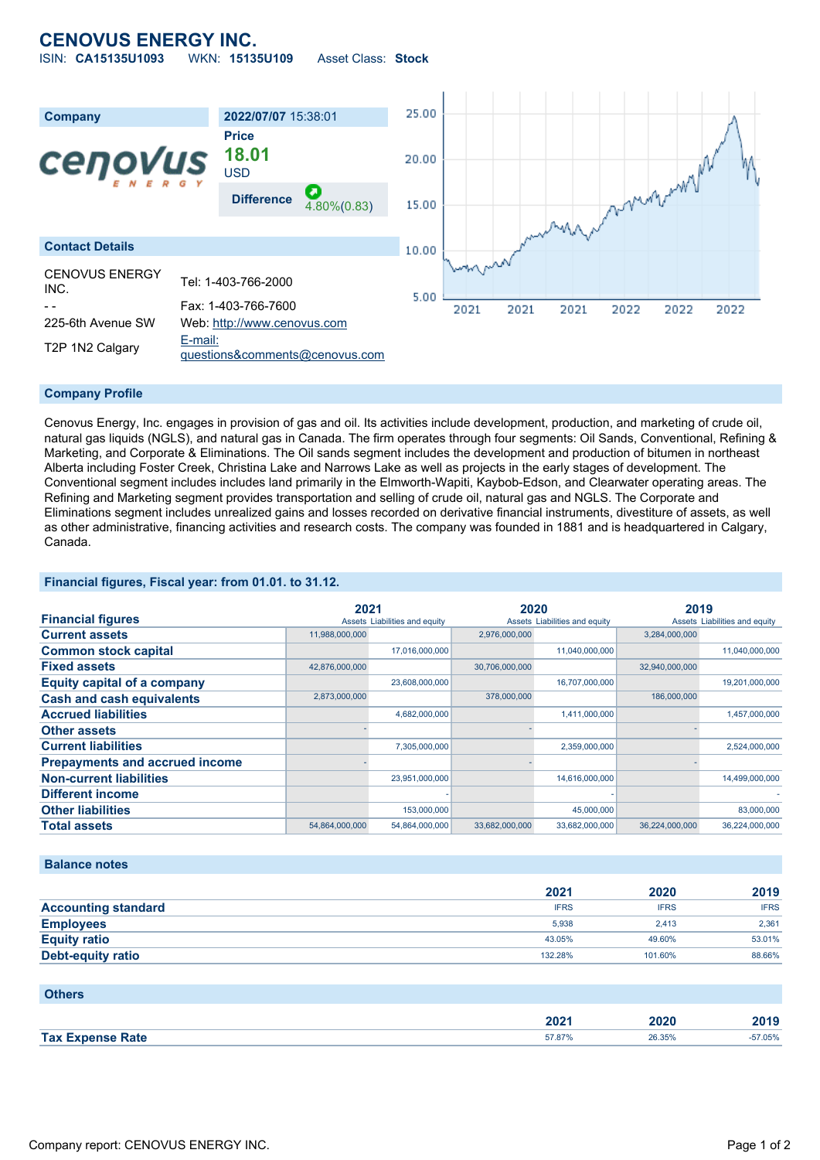## **CENOVUS ENERGY INC.**

ISIN: **CA15135U1093** WKN: **15135U109** Asset Class: **Stock**



#### **Company Profile**

Cenovus Energy, Inc. engages in provision of gas and oil. Its activities include development, production, and marketing of crude oil, natural gas liquids (NGLS), and natural gas in Canada. The firm operates through four segments: Oil Sands, Conventional, Refining & Marketing, and Corporate & Eliminations. The Oil sands segment includes the development and production of bitumen in northeast Alberta including Foster Creek, Christina Lake and Narrows Lake as well as projects in the early stages of development. The Conventional segment includes includes land primarily in the Elmworth-Wapiti, Kaybob-Edson, and Clearwater operating areas. The Refining and Marketing segment provides transportation and selling of crude oil, natural gas and NGLS. The Corporate and Eliminations segment includes unrealized gains and losses recorded on derivative financial instruments, divestiture of assets, as well as other administrative, financing activities and research costs. The company was founded in 1881 and is headquartered in Calgary, Canada.

### **Financial figures, Fiscal year: from 01.01. to 31.12.**

|                                       | 2021           |                               | 2020           |                               | 2019           |                               |
|---------------------------------------|----------------|-------------------------------|----------------|-------------------------------|----------------|-------------------------------|
| <b>Financial figures</b>              |                | Assets Liabilities and equity |                | Assets Liabilities and equity |                | Assets Liabilities and equity |
| <b>Current assets</b>                 | 11,988,000,000 |                               | 2,976,000,000  |                               | 3,284,000,000  |                               |
| <b>Common stock capital</b>           |                | 17,016,000,000                |                | 11,040,000,000                |                | 11,040,000,000                |
| <b>Fixed assets</b>                   | 42,876,000,000 |                               | 30,706,000,000 |                               | 32,940,000,000 |                               |
| <b>Equity capital of a company</b>    |                | 23,608,000,000                |                | 16,707,000,000                |                | 19,201,000,000                |
| <b>Cash and cash equivalents</b>      | 2,873,000,000  |                               | 378,000,000    |                               | 186,000,000    |                               |
| <b>Accrued liabilities</b>            |                | 4,682,000,000                 |                | 1,411,000,000                 |                | 1,457,000,000                 |
| <b>Other assets</b>                   |                |                               |                |                               |                |                               |
| <b>Current liabilities</b>            |                | 7,305,000,000                 |                | 2,359,000,000                 |                | 2,524,000,000                 |
| <b>Prepayments and accrued income</b> |                |                               |                |                               |                |                               |
| <b>Non-current liabilities</b>        |                | 23,951,000,000                |                | 14,616,000,000                |                | 14,499,000,000                |
| <b>Different income</b>               |                |                               |                |                               |                |                               |
| <b>Other liabilities</b>              |                | 153,000,000                   |                | 45,000,000                    |                | 83,000,000                    |
| <b>Total assets</b>                   | 54,864,000,000 | 54,864,000,000                | 33,682,000,000 | 33,682,000,000                | 36,224,000,000 | 36,224,000,000                |

### **Balance notes**

|                            | 2021        | 2020        | 2019        |
|----------------------------|-------------|-------------|-------------|
| <b>Accounting standard</b> | <b>IFRS</b> | <b>IFRS</b> | <b>IFRS</b> |
| <b>Employees</b>           | 5.938       | 2.413       | 2,361       |
| <b>Equity ratio</b>        | 43.05%      | 49.60%      | 53.01%      |
| Debt-equity ratio          | 132.28%     | 101.60%     | 88.66%      |

| <b>Others</b>           |        |        |        |
|-------------------------|--------|--------|--------|
|                         | 2021   | 2020   | 2019   |
| <b>Tax Expense Rate</b> | 57.87% | 26.35% | 57.05% |